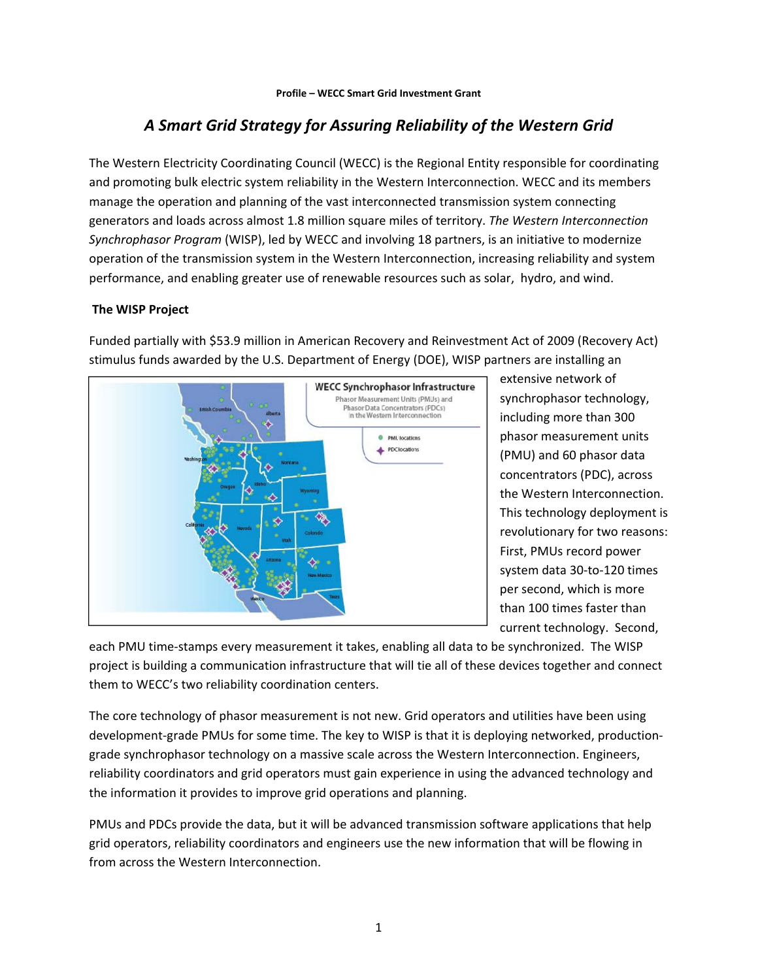# *A Smart Grid Strategy for Assuring Reliability of the Western Grid*

The Western Electricity Coordinating Council (WECC) is the Regional Entity responsible for coordinating and promoting bulk electric system reliability in the Western Interconnection. WECC and its members manage the operation and planning of the vast interconnected transmission system connecting generators and loads across almost 1.8 million square miles of territory. *The Western Interconnection Synchrophasor Program* (WISP), led by WECC and involving 18 partners, is an initiative to modernize operation of the transmission system in the Western Interconnection, increasing reliability and system performance, and enabling greater use of renewable resources such as solar, hydro, and wind.

## **The WISP Project**

Funded partially with \$53.9 million in American Recovery and Reinvestment Act of 2009 (Recovery Act) stimulus funds awarded by the U.S. Department of Energy (DOE), WISP partners are installing an



extensive network of synchrophasor technology, including more than 300 phasor measurement units (PMU) and 60 phasor data concentrators (PDC), across the Western Interconnection. This technology deployment is revolutionary for two reasons: First, PMUs record power system data 30‐to‐120 times per second, which is more than 100 times faster than current technology. Second,

each PMU time‐stamps every measurement it takes, enabling all data to be synchronized. The WISP project is building a communication infrastructure that will tie all of these devices together and connect them to WECC's two reliability coordination centers.

The core technology of phasor measurement is not new. Grid operators and utilities have been using development‐grade PMUs for some time. The key to WISP is that it is deploying networked, production‐ grade synchrophasor technology on a massive scale across the Western Interconnection. Engineers, reliability coordinators and grid operators must gain experience in using the advanced technology and the information it provides to improve grid operations and planning.

PMUs and PDCs provide the data, but it will be advanced transmission software applications that help grid operators, reliability coordinators and engineers use the new information that will be flowing in from across the Western Interconnection.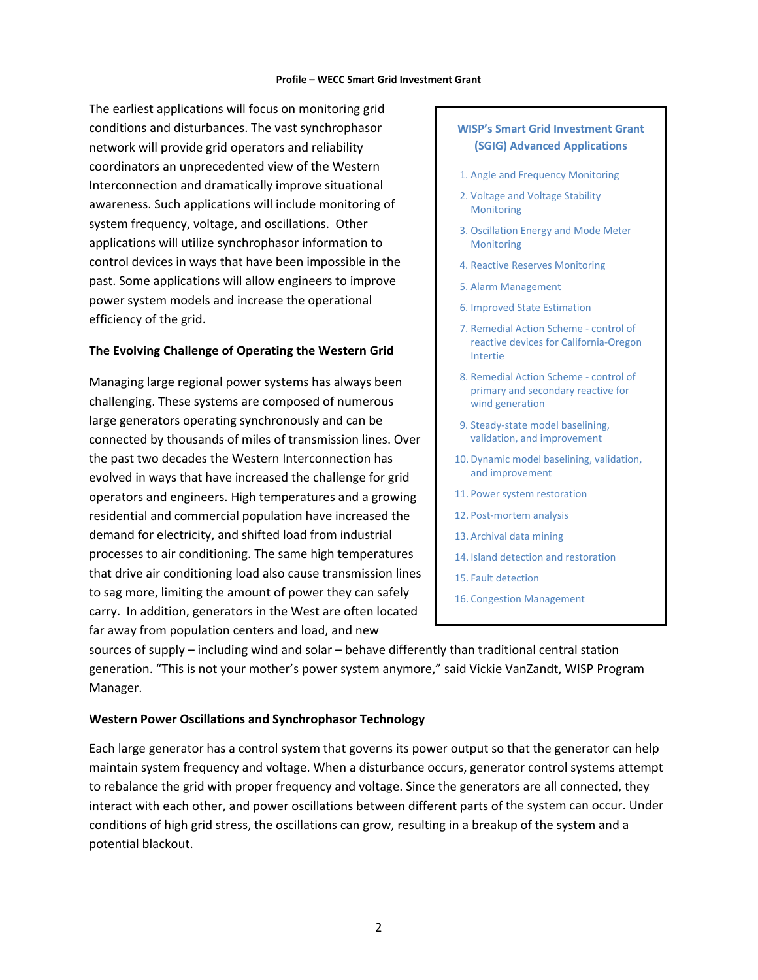#### **Profile – WECC Smart Grid Investment Grant**

The earliest applications will focus on monitoring grid conditions and disturbances. The vast synchrophasor network will provide grid operators and reliability coordinators an unprecedented view of the Western Interconnection and dramatically improve situational awareness. Such applications will include monitoring of system frequency, voltage, and oscillations. Other applications will utilize synchrophasor information to control devices in ways that have been impossible in the past. Some applications will allow engineers to improve power system models and increase the operational efficiency of the grid.

#### **The Evolving Challenge of Operating the Western Grid**

Managing large regional power systems has always been challenging. These systems are composed of numerous large generators operating synchronously and can be connected by thousands of miles of transmission lines. Over the past two decades the Western Interconnection has evolved in ways that have increased the challenge for grid operators and engineers. High temperatures and a growing residential and commercial population have increased the demand for electricity, and shifted load from industrial processes to air conditioning. The same high temperatures that drive air conditioning load also cause transmission lines to sag more, limiting the amount of power they can safely carry. In addition, generators in the West are often located far away from population centers and load, and new

## **WISP's Smart Grid Investment Grant (SGIG) Advanced Applications**

- 1. Angle and Frequency Monitoring
- 2. Voltage and Voltage Stability Monitoring
- 3. Oscillation Energy and Mode Meter Monitoring
- 4. Reactive Reserves Monitoring
- 5. Alarm Management
- 6. Improved State Estimation
- 7. Remedial Action Scheme ‐ control of reactive devices for California‐Oregon Intertie
- 8. Remedial Action Scheme ‐ control of primary and secondary reactive for wind generation
- 9. Steady‐state model baselining, validation, and improvement
- 10. Dynamic model baselining, validation, and improvement
- 11. Power system restoration
- 12. Post-mortem analysis
- 13. Archival data mining
- 14. Island detection and restoration
- 15. Fault detection
- 16. Congestion Management

sources of supply – including wind and solar – behave differently than traditional central station generation. "This is not your mother's power system anymore," said Vickie VanZandt, WISP Program Manager.

#### **Western Power Oscillations and Synchrophasor Technology**

Each large generator has a control system that governs its power output so that the generator can help maintain system frequency and voltage. When a disturbance occurs, generator control systems attempt to rebalance the grid with proper frequency and voltage. Since the generators are all connected, they interact with each other, and power oscillations between different parts of the system can occur. Under conditions of high grid stress, the oscillations can grow, resulting in a breakup of the system and a potential blackout.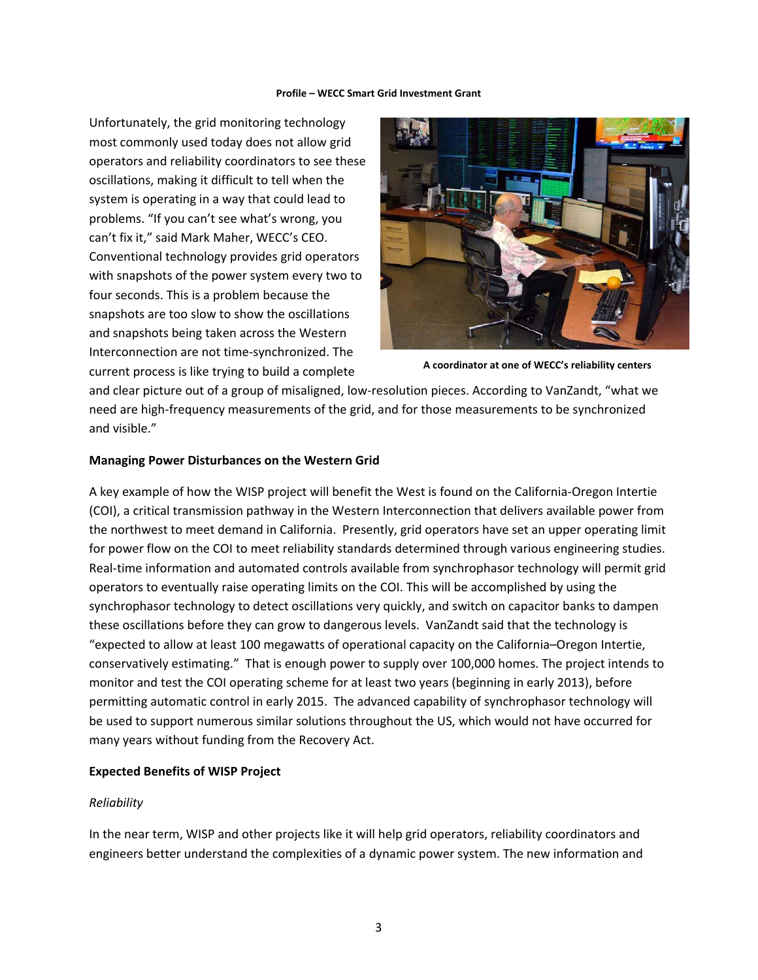#### **Profile – WECC Smart Grid Investment Grant**

Unfortunately, the grid monitoring technology most commonly used today does not allow grid operators and reliability coordinators to see these oscillations, making it difficult to tell when the system is operating in a way that could lead to problems. "If you can't see what's wrong, you can't fix it," said Mark Maher, WECC's CEO. Conventional technology provides grid operators with snapshots of the power system every two to four seconds. This is a problem because the snapshots are too slow to show the oscillations and snapshots being taken across the Western Interconnection are not time‐synchronized. The current process is like trying to build a complete



**A coordinator at one of WECC's reliability centers**

and clear picture out of a group of misaligned, low-resolution pieces. According to VanZandt, "what we need are high‐frequency measurements of the grid, and for those measurements to be synchronized and visible."

#### **Managing Power Disturbances on the Western Grid**

A key example of how the WISP project will benefit the West is found on the California‐Oregon Intertie (COI), a critical transmission pathway in the Western Interconnection that delivers available power from the northwest to meet demand in California. Presently, grid operators have set an upper operating limit for power flow on the COI to meet reliability standards determined through various engineering studies. Real-time information and automated controls available from synchrophasor technology will permit grid operators to eventually raise operating limits on the COI. This will be accomplished by using the synchrophasor technology to detect oscillations very quickly, and switch on capacitor banks to dampen these oscillations before they can grow to dangerous levels. VanZandt said that the technology is "expected to allow at least 100 megawatts of operational capacity on the California–Oregon Intertie, conservatively estimating." That is enough power to supply over 100,000 homes. The project intends to monitor and test the COI operating scheme for at least two years (beginning in early 2013), before permitting automatic control in early 2015. The advanced capability of synchrophasor technology will be used to support numerous similar solutions throughout the US, which would not have occurred for many years without funding from the Recovery Act.

## **Expected Benefits of WISP Project**

## *Reliability*

In the near term, WISP and other projects like it will help grid operators, reliability coordinators and engineers better understand the complexities of a dynamic power system. The new information and